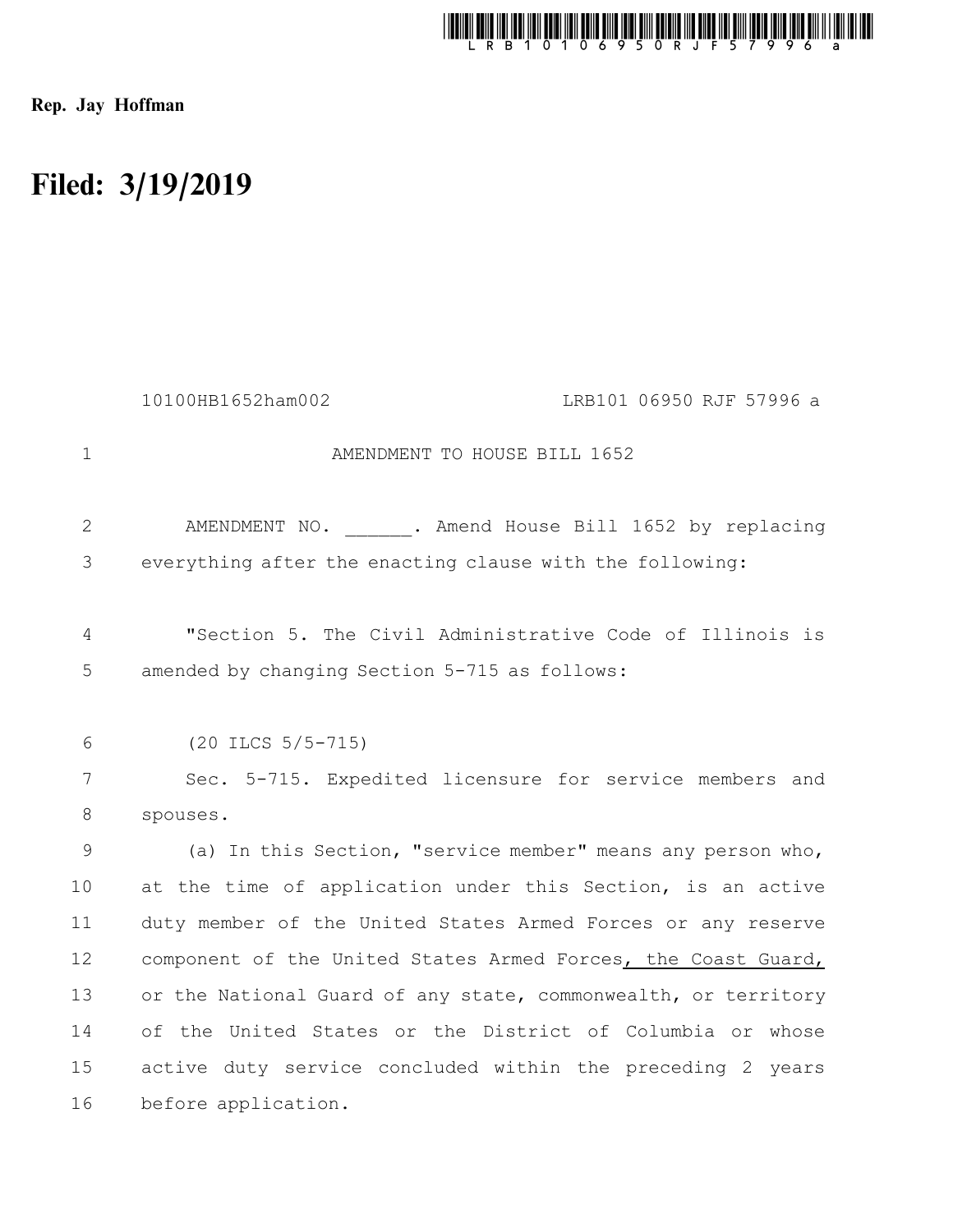

Rep. Jay Hoffman

## Filed: 3/19/2019

|                | 10100HB1652ham002<br>LRB101 06950 RJF 57996 a                  |
|----------------|----------------------------------------------------------------|
| $\mathbf{1}$   | AMENDMENT TO HOUSE BILL 1652                                   |
| $\overline{2}$ | AMENDMENT NO. . Amend House Bill 1652 by replacing             |
| 3              | everything after the enacting clause with the following:       |
| 4              | "Section 5. The Civil Administrative Code of Illinois is       |
| 5              | amended by changing Section 5-715 as follows:                  |
|                |                                                                |
| 6              | $(20$ ILCS $5/5-715)$                                          |
| $7\phantom{.}$ | Sec. 5-715. Expedited licensure for service members and        |
| 8              | spouses.                                                       |
| 9              | (a) In this Section, "service member" means any person who,    |
| 10             | at the time of application under this Section, is an active    |
| 11             | duty member of the United States Armed Forces or any reserve   |
| 12             | component of the United States Armed Forces, the Coast Guard,  |
| 13             | or the National Guard of any state, commonwealth, or territory |
| 14             | of the United States or the District of Columbia or whose      |
| 15             | active duty service concluded within the preceding 2 years     |
| 16             | before application.                                            |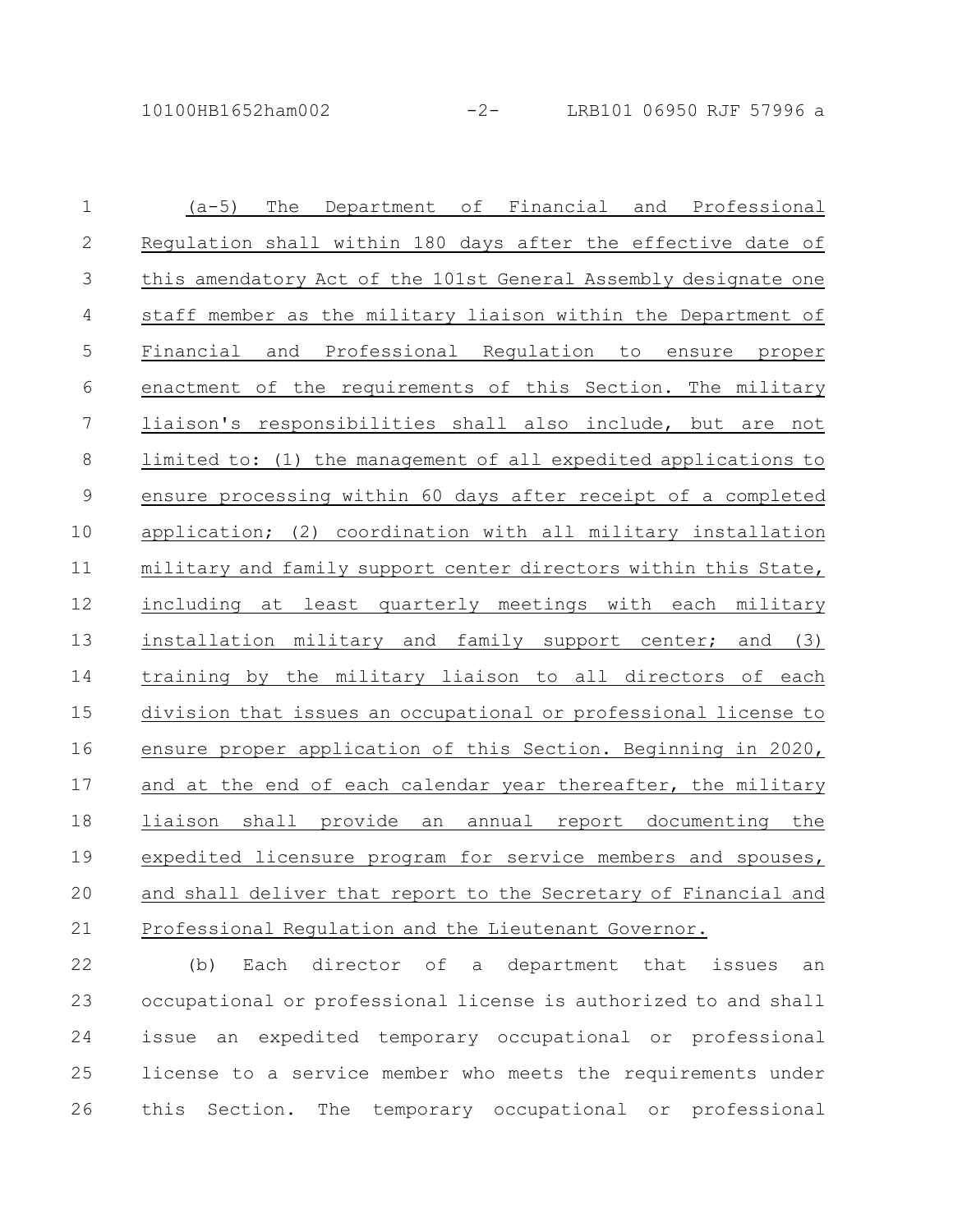| $\mathbf 1$   | The<br>Department of Financial and Professional<br>$(a-5)$      |
|---------------|-----------------------------------------------------------------|
| $\mathbf{2}$  | Regulation shall within 180 days after the effective date of    |
| 3             | this amendatory Act of the 101st General Assembly designate one |
| 4             | staff member as the military liaison within the Department of   |
| 5             | Financial<br>Professional Requlation to<br>and<br>ensure proper |
| 6             | enactment of the requirements of this Section. The military     |
| 7             | liaison's responsibilities shall also include, but are not      |
| $\,8\,$       | limited to: (1) the management of all expedited applications to |
| $\mathcal{G}$ | ensure processing within 60 days after receipt of a completed   |
| 10            | application; (2) coordination with all military installation    |
| 11            | military and family support center directors within this State, |
| 12            | including at least quarterly meetings with each military        |
| 13            | installation military and family support center; and (3)        |
| 14            | training by the military liaison to all directors of each       |
| 15            | division that issues an occupational or professional license to |
| 16            | ensure proper application of this Section. Beginning in 2020,   |
| 17            | and at the end of each calendar year thereafter, the military   |
| 18            | shall provide<br>liaison<br>an<br>annual report documenting the |
| 19            | expedited licensure program for service members and spouses,    |
| 20            | and shall deliver that report to the Secretary of Financial and |
| 21            | Professional Regulation and the Lieutenant Governor.            |

(b) Each director of a department that issues an occupational or professional license is authorized to and shall issue an expedited temporary occupational or professional license to a service member who meets the requirements under this Section. The temporary occupational or professional 22 23 24 25 26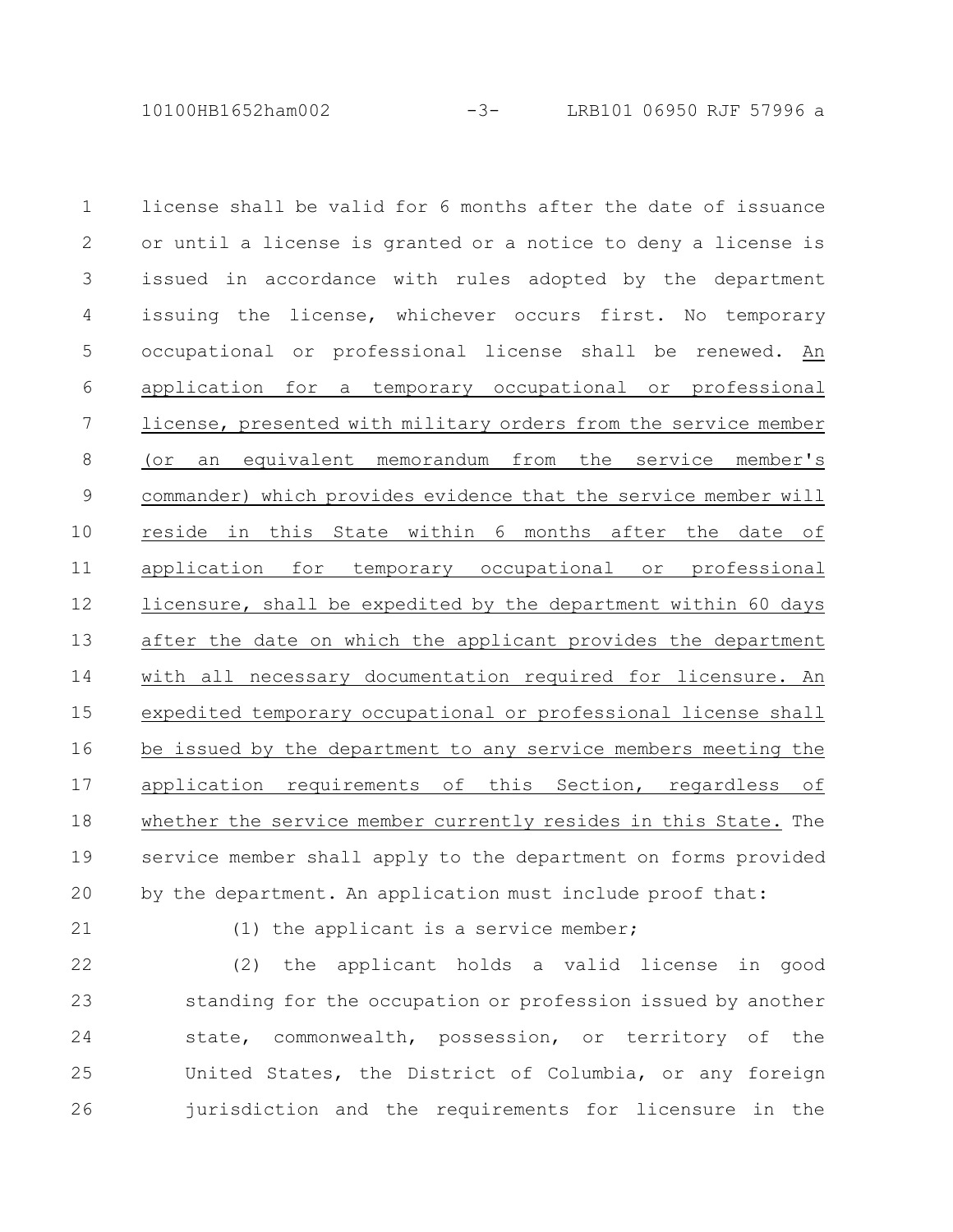10100HB1652ham002 -3- LRB101 06950 RJF 57996 a

license shall be valid for 6 months after the date of issuance or until a license is granted or a notice to deny a license is issued in accordance with rules adopted by the department issuing the license, whichever occurs first. No temporary occupational or professional license shall be renewed. An application for a temporary occupational or professional license, presented with military orders from the service member (or an equivalent memorandum from the service member's commander) which provides evidence that the service member will reside in this State within 6 months after the date of application for temporary occupational or professional licensure, shall be expedited by the department within 60 days after the date on which the applicant provides the department with all necessary documentation required for licensure. An expedited temporary occupational or professional license shall be issued by the department to any service members meeting the application requirements of this Section, regardless of whether the service member currently resides in this State. The service member shall apply to the department on forms provided by the department. An application must include proof that: 1 2 3 4 5 6 7 8 9 10 11 12 13 14 15 16 17 18 19 20

21

(1) the applicant is a service member;

(2) the applicant holds a valid license in good standing for the occupation or profession issued by another state, commonwealth, possession, or territory of the United States, the District of Columbia, or any foreign jurisdiction and the requirements for licensure in the 22 23 24 25 26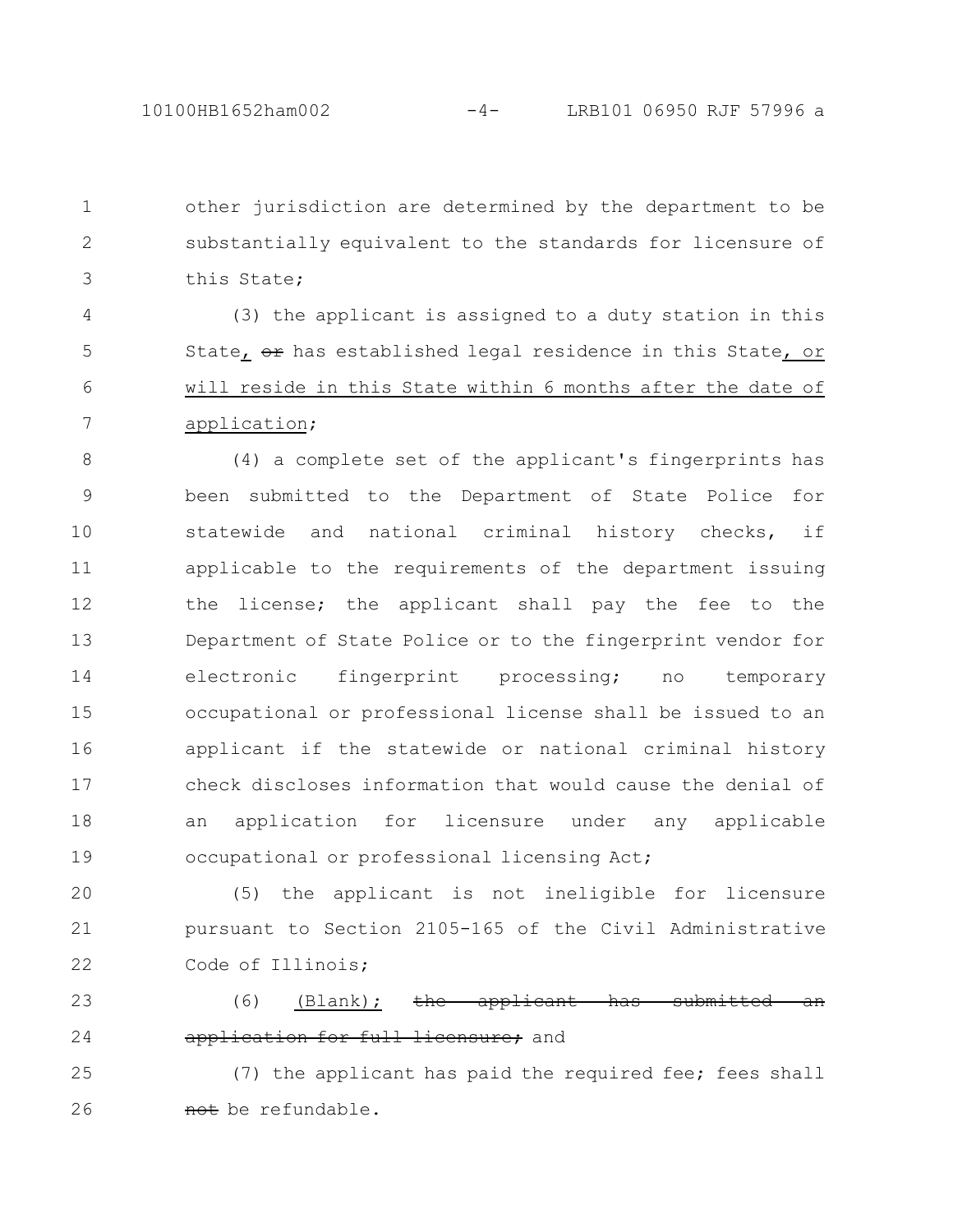other jurisdiction are determined by the department to be substantially equivalent to the standards for licensure of this State; 1 2 3

(3) the applicant is assigned to a duty station in this State, or has established legal residence in this State, or will reside in this State within 6 months after the date of application; 4 5 6 7

(4) a complete set of the applicant's fingerprints has been submitted to the Department of State Police for statewide and national criminal history checks, if applicable to the requirements of the department issuing the license; the applicant shall pay the fee to the Department of State Police or to the fingerprint vendor for electronic fingerprint processing; no temporary occupational or professional license shall be issued to an applicant if the statewide or national criminal history check discloses information that would cause the denial of an application for licensure under any applicable occupational or professional licensing Act; 8 9 10 11 12 13 14 15 16 17 18 19

(5) the applicant is not ineligible for licensure pursuant to Section 2105-165 of the Civil Administrative Code of Illinois; 20 21 22

(6) (Blank);  $the$  applicant has application for full licensure; and 23 24

(7) the applicant has paid the required fee; fees shall not be refundable. 25 26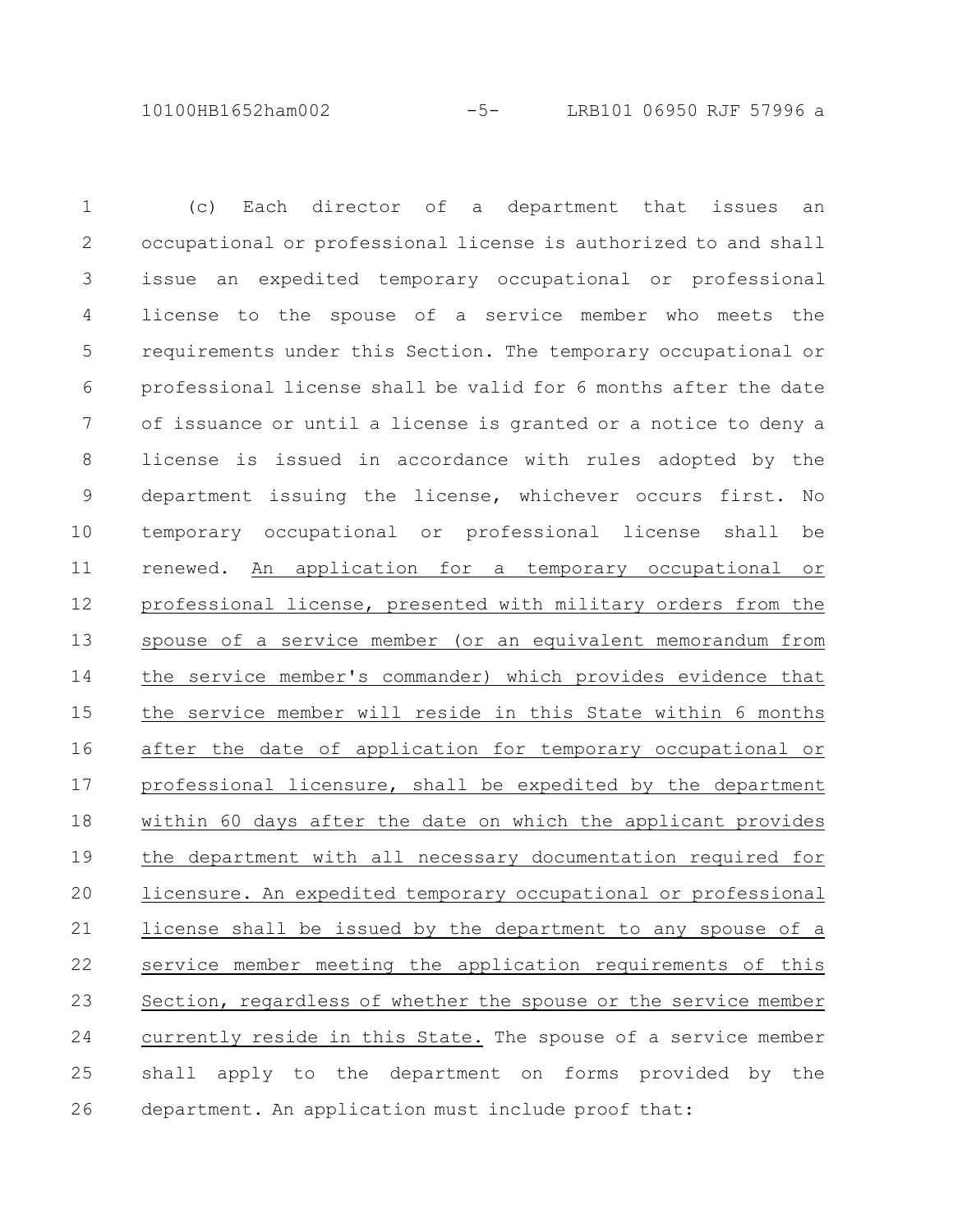10100HB1652ham002 -5- LRB101 06950 RJF 57996 a

(c) Each director of a department that issues an occupational or professional license is authorized to and shall issue an expedited temporary occupational or professional license to the spouse of a service member who meets the requirements under this Section. The temporary occupational or professional license shall be valid for 6 months after the date of issuance or until a license is granted or a notice to deny a license is issued in accordance with rules adopted by the department issuing the license, whichever occurs first. No temporary occupational or professional license shall be renewed. An application for a temporary occupational or professional license, presented with military orders from the spouse of a service member (or an equivalent memorandum from the service member's commander) which provides evidence that the service member will reside in this State within 6 months after the date of application for temporary occupational or professional licensure, shall be expedited by the department within 60 days after the date on which the applicant provides the department with all necessary documentation required for licensure. An expedited temporary occupational or professional license shall be issued by the department to any spouse of a service member meeting the application requirements of this Section, regardless of whether the spouse or the service member currently reside in this State. The spouse of a service member shall apply to the department on forms provided by the department. An application must include proof that: 1 2 3 4 5 6 7 8 9 10 11 12 13 14 15 16 17 18 19 20 21 22 23 24 25 26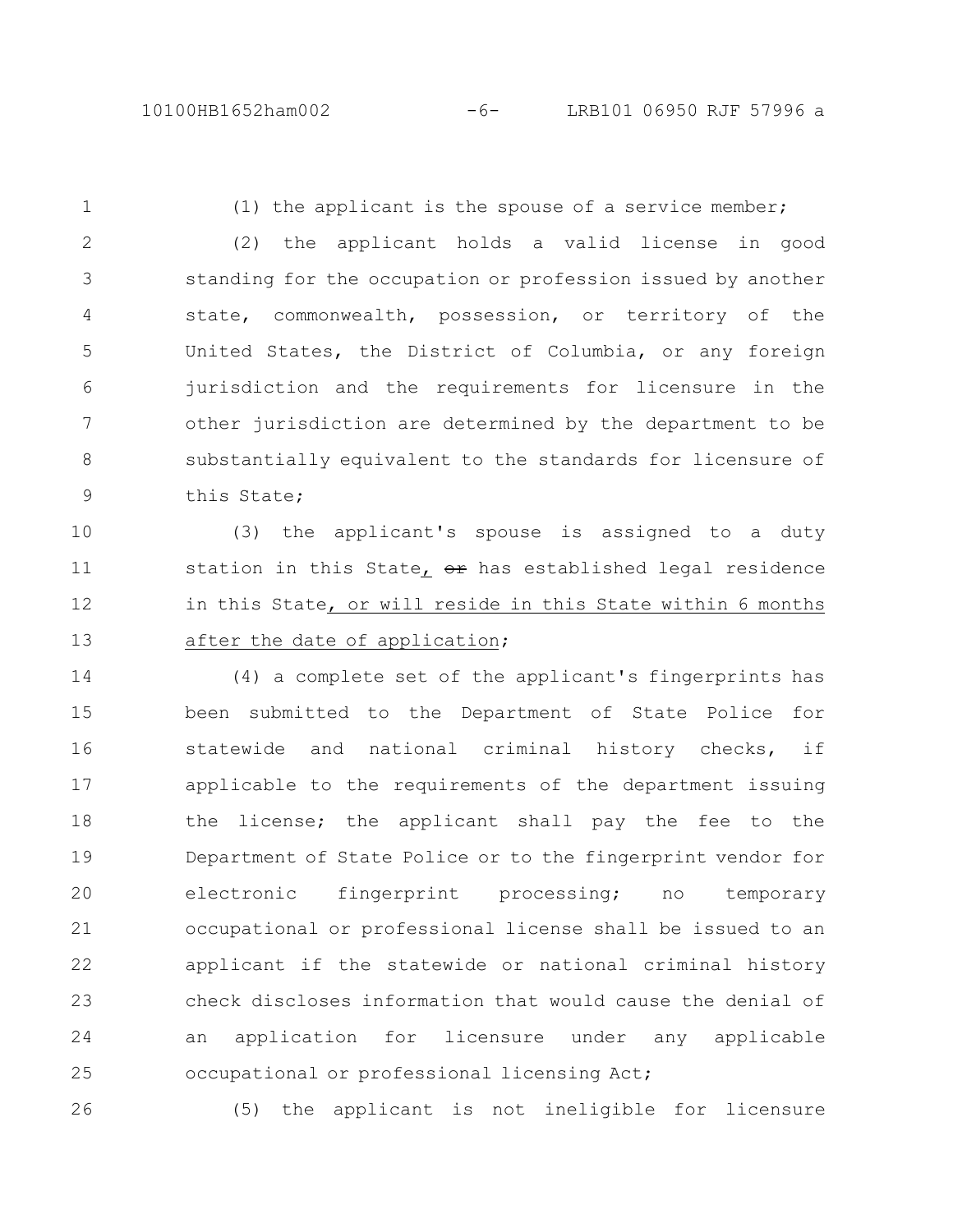1

(1) the applicant is the spouse of a service member;

(2) the applicant holds a valid license in good standing for the occupation or profession issued by another state, commonwealth, possession, or territory of the United States, the District of Columbia, or any foreign jurisdiction and the requirements for licensure in the other jurisdiction are determined by the department to be substantially equivalent to the standards for licensure of this State; 2 3 4 5 6 7 8 9

(3) the applicant's spouse is assigned to a duty station in this State,  $e^{i\theta}$  has established legal residence in this State, or will reside in this State within 6 months after the date of application; 10 11 12 13

(4) a complete set of the applicant's fingerprints has been submitted to the Department of State Police for statewide and national criminal history checks, if applicable to the requirements of the department issuing the license; the applicant shall pay the fee to the Department of State Police or to the fingerprint vendor for electronic fingerprint processing; no temporary occupational or professional license shall be issued to an applicant if the statewide or national criminal history check discloses information that would cause the denial of an application for licensure under any applicable occupational or professional licensing Act; 14 15 16 17 18 19 20 21 22 23 24 25

26

(5) the applicant is not ineligible for licensure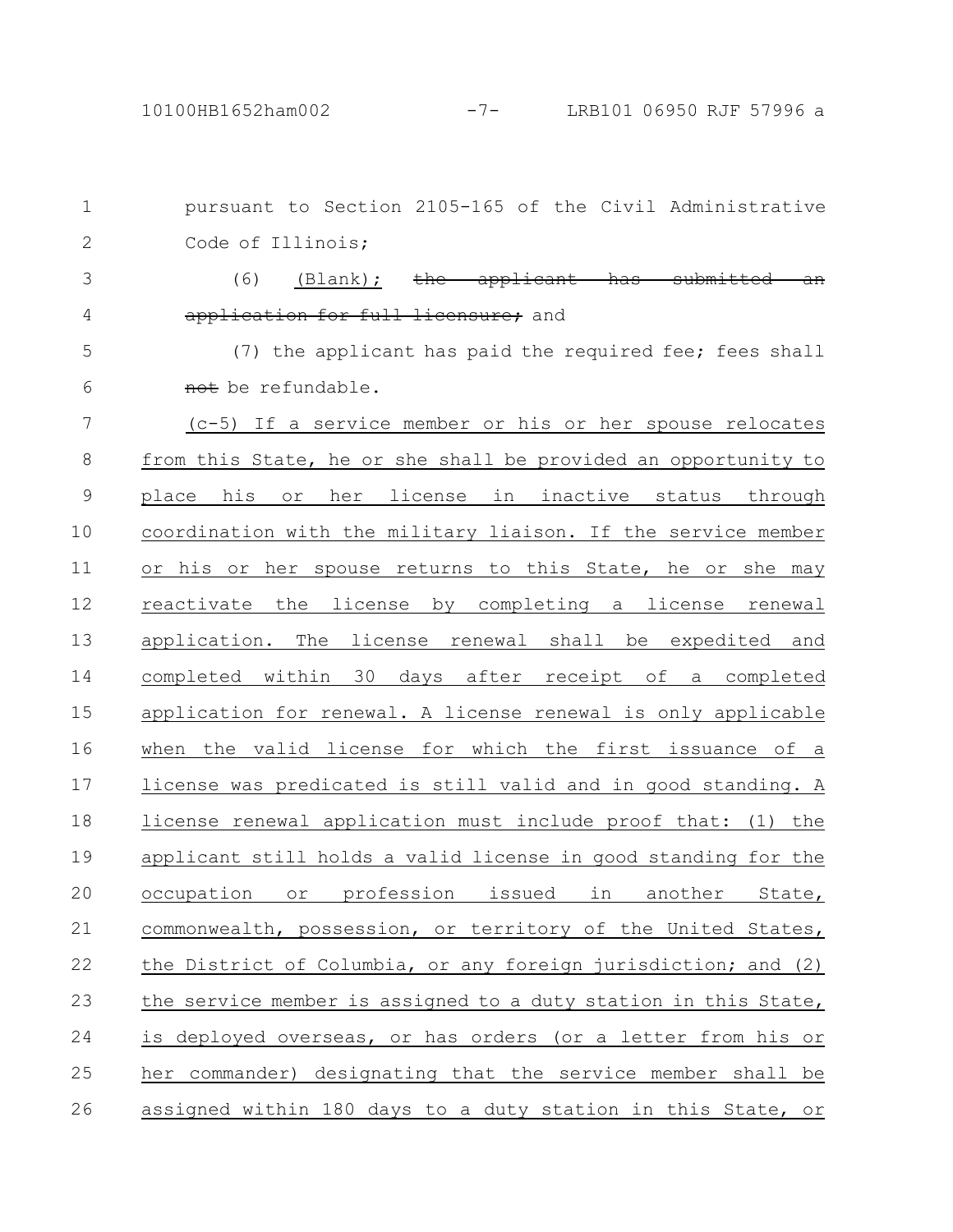pursuant to Section 2105-165 of the Civil Administrative Code of Illinois; (6) (Blank); the applicant has application for full licensure: and (7) the applicant has paid the required fee; fees shall not be refundable. (c-5) If a service member or his or her spouse relocates from this State, he or she shall be provided an opportunity to place his or her license in inactive status through coordination with the military liaison. If the service member or his or her spouse returns to this State, he or she may reactivate the license by completing a license renewal application. The license renewal shall be expedited and completed within 30 days after receipt of a completed application for renewal. A license renewal is only applicable when the valid license for which the first issuance of a license was predicated is still valid and in good standing. A license renewal application must include proof that: (1) the applicant still holds a valid license in good standing for the occupation or profession issued in another State, commonwealth, possession, or territory of the United States, the District of Columbia, or any foreign jurisdiction; and (2) the service member is assigned to a duty station in this State, is deployed overseas, or has orders (or a letter from his or her commander) designating that the service member shall be assigned within 180 days to a duty station in this State, or 1 2 3 4 5 6 7 8 9 10 11 12 13 14 15 16 17 18 19 20 21 22 23 24 25 26